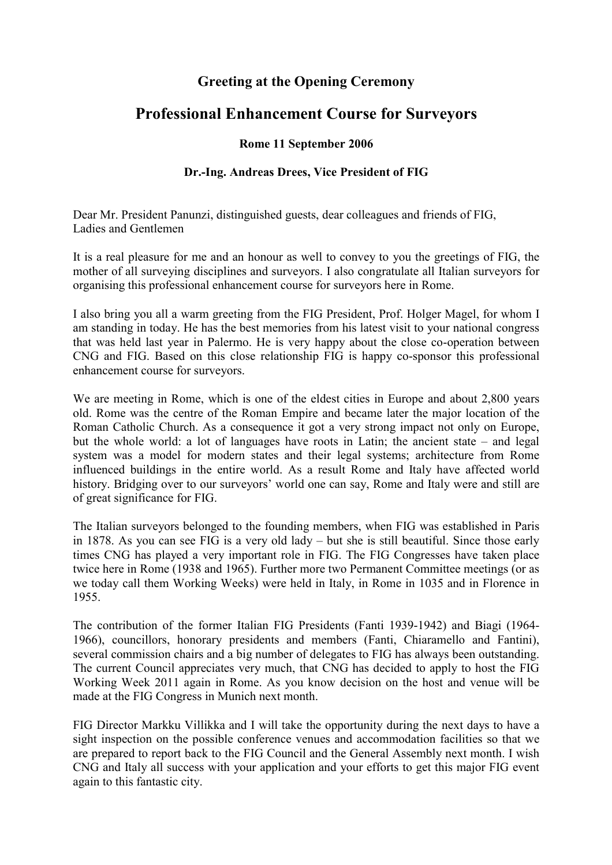## **Greeting at the Opening Ceremony**

## **Professional Enhancement Course for Surveyors**

## **Rome 11 September 2006**

## **Dr.-Ing. Andreas Drees, Vice President of FIG**

Dear Mr. President Panunzi, distinguished guests, dear colleagues and friends of FIG, Ladies and Gentlemen

It is a real pleasure for me and an honour as well to convey to you the greetings of FIG, the mother of all surveying disciplines and surveyors. I also congratulate all Italian surveyors for organising this professional enhancement course for surveyors here in Rome.

I also bring you all a warm greeting from the FIG President, Prof. Holger Magel, for whom I am standing in today. He has the best memories from his latest visit to your national congress that was held last year in Palermo. He is very happy about the close co-operation between CNG and FIG. Based on this close relationship FIG is happy co-sponsor this professional enhancement course for surveyors.

We are meeting in Rome, which is one of the eldest cities in Europe and about 2,800 years old. Rome was the centre of the Roman Empire and became later the major location of the Roman Catholic Church. As a consequence it got a very strong impact not only on Europe, but the whole world: a lot of languages have roots in Latin; the ancient state – and legal system was a model for modern states and their legal systems; architecture from Rome influenced buildings in the entire world. As a result Rome and Italy have affected world history. Bridging over to our surveyors' world one can say, Rome and Italy were and still are of great significance for FIG.

The Italian surveyors belonged to the founding members, when FIG was established in Paris in 1878. As you can see FIG is a very old lady – but she is still beautiful. Since those early times CNG has played a very important role in FIG. The FIG Congresses have taken place twice here in Rome (1938 and 1965). Further more two Permanent Committee meetings (or as we today call them Working Weeks) were held in Italy, in Rome in 1035 and in Florence in 1955.

The contribution of the former Italian FIG Presidents (Fanti 1939-1942) and Biagi (1964- 1966), councillors, honorary presidents and members (Fanti, Chiaramello and Fantini), several commission chairs and a big number of delegates to FIG has always been outstanding. The current Council appreciates very much, that CNG has decided to apply to host the FIG Working Week 2011 again in Rome. As you know decision on the host and venue will be made at the FIG Congress in Munich next month.

FIG Director Markku Villikka and I will take the opportunity during the next days to have a sight inspection on the possible conference venues and accommodation facilities so that we are prepared to report back to the FIG Council and the General Assembly next month. I wish CNG and Italy all success with your application and your efforts to get this major FIG event again to this fantastic city.